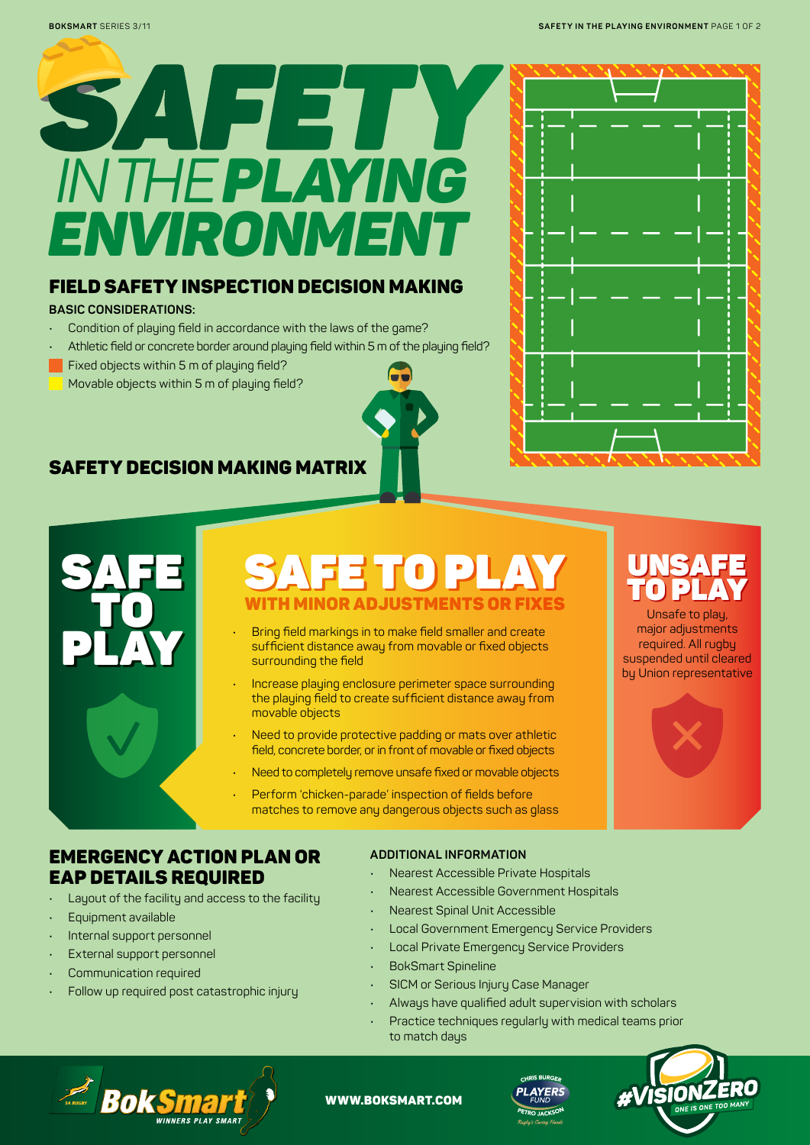

### FIELD SAFETY INSPECTION DECISION MAKING

#### **BASIC CONSIDERATIONS:**

- Condition of playing field in accordance with the laws of the game?
- Athletic field or concrete border around playing field within 5 m of the playing field?
- Fixed objects within 5 m of playing field?
- Movable objects within 5 m of playing field?

## SAFETY DECISION MAKING MATRIX



## **SAFE TO PLAY TO PLAY TO PLAY**<br>
TO PLAY WITH MINOR ADJUSTMENTS OR FIXES<br>
Unsafe to play,<br>
Unsafe to play, SAFE TO PLAY | UNSAFE WITH MINOR ADJUSTMENTS OR FIXES

- Bring field markings in to make field smaller and create sufficient distance away from movable or fixed objects surrounding the field
- Increase playing enclosure perimeter space surrounding the playing field to create sufficient distance away from movable objects
- Need to provide protective padding or mats over athletic field, concrete border, or in front of movable or fixed objects
- Need to completely remove unsafe fixed or movable objects
- Perform 'chicken-parade' inspection of fields before matches to remove any dangerous objects such as glass

## EMERGENCY ACTION PLAN OR EAP DETAILS REQUIRED

- Layout of the facility and access to the facility
- Equipment available
- Internal support personnel
- External support personnel
- Communication required
- Follow up required post catastrophic injury

#### **ADDITIONAL INFORMATION**

- Nearest Accessible Private Hospitals
- Nearest Accessible Government Hospitals
- Nearest Spinal Unit Accessible
- Local Government Emergency Service Providers
- Local Private Emergency Service Providers
- BokSmart Spineline
- SICM or Serious Injury Case Manager
- Always have qualified adult supervision with scholars
- Practice techniques regularly with medical teams prior to match days



# TO PLAY

Unsafe to play, major adjustments required. All rugby suspended until cleared by Union representative





#### WWW.BOKSMART.COM